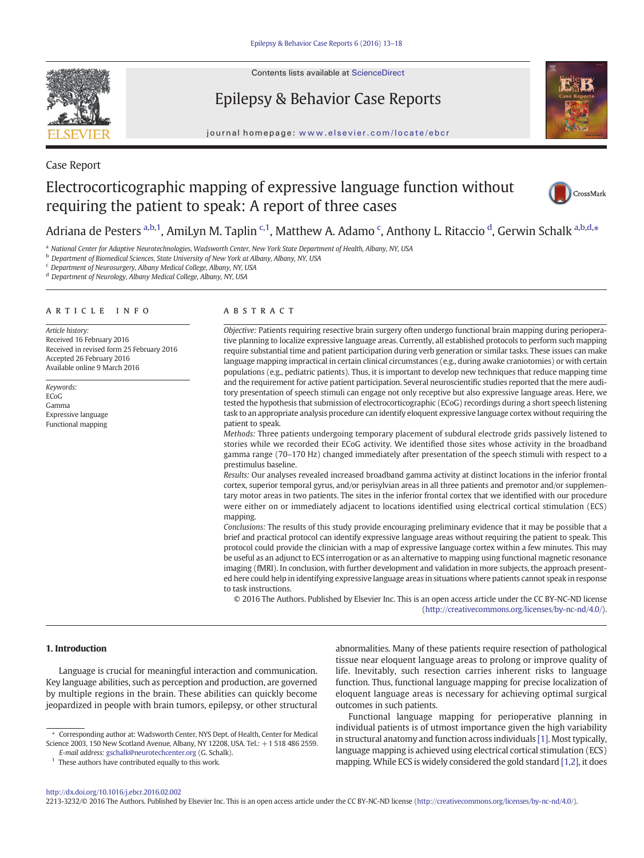

Contents lists available at ScienceDirect

# Epilepsy & Behavior Case Reports



journal homepage: <www.elsevier.com/locate/ebcr>

## Case Report

# Electrocorticographic mapping of expressive language function without requiring the patient to speak: A report of three cases



### Adriana de Pesters <sup>a,b,1</sup>, AmiLyn M. Taplin <sup>c,1</sup>, Matthew A. Adamo <sup>c</sup>, Anthony L. Ritaccio <sup>d</sup>, Gerwin Schalk <sup>a,b,d,</sup>\*

<sup>a</sup> National Center for Adaptive Neurotechnologies, Wadsworth Center, New York State Department of Health, Albany, NY, USA

**b** Department of Biomedical Sciences, State University of New York at Albany, Albany, NY, USA

<sup>c</sup> Department of Neurosurgery, Albany Medical College, Albany, NY, USA

<sup>d</sup> Department of Neurology, Albany Medical College, Albany, NY, USA

#### article info abstract

Article history: Received 16 February 2016 Received in revised form 25 February 2016 Accepted 26 February 2016 Available online 9 March 2016

Keywords: ECoG Gamma Expressive language Functional mapping

Objective: Patients requiring resective brain surgery often undergo functional brain mapping during perioperative planning to localize expressive language areas. Currently, all established protocols to perform such mapping require substantial time and patient participation during verb generation or similar tasks. These issues can make language mapping impractical in certain clinical circumstances (e.g., during awake craniotomies) or with certain populations (e.g., pediatric patients). Thus, it is important to develop new techniques that reduce mapping time and the requirement for active patient participation. Several neuroscientific studies reported that the mere auditory presentation of speech stimuli can engage not only receptive but also expressive language areas. Here, we tested the hypothesis that submission of electrocorticographic (ECoG) recordings during a short speech listening task to an appropriate analysis procedure can identify eloquent expressive language cortex without requiring the patient to speak.

Methods: Three patients undergoing temporary placement of subdural electrode grids passively listened to stories while we recorded their ECoG activity. We identified those sites whose activity in the broadband gamma range (70–170 Hz) changed immediately after presentation of the speech stimuli with respect to a prestimulus baseline.

Results: Our analyses revealed increased broadband gamma activity at distinct locations in the inferior frontal cortex, superior temporal gyrus, and/or perisylvian areas in all three patients and premotor and/or supplementary motor areas in two patients. The sites in the inferior frontal cortex that we identified with our procedure were either on or immediately adjacent to locations identified using electrical cortical stimulation (ECS) mapping.

Conclusions: The results of this study provide encouraging preliminary evidence that it may be possible that a brief and practical protocol can identify expressive language areas without requiring the patient to speak. This protocol could provide the clinician with a map of expressive language cortex within a few minutes. This may be useful as an adjunct to ECS interrogation or as an alternative to mapping using functional magnetic resonance imaging (fMRI). In conclusion, with further development and validation in more subjects, the approach presented here could help in identifying expressive language areas in situations where patients cannot speak in response to task instructions.

© 2016 The Authors. Published by Elsevier Inc. This is an open access article under the CC BY-NC-ND license ([http://creativecommons.org/licenses/by-nc-nd/4.0/\)](http://creativecommons.org/licenses/by-nc-nd/4.0/).

#### 1. Introduction

Language is crucial for meaningful interaction and communication. Key language abilities, such as perception and production, are governed by multiple regions in the brain. These abilities can quickly become jeopardized in people with brain tumors, epilepsy, or other structural

<sup>1</sup> These authors have contributed equally to this work.

abnormalities. Many of these patients require resection of pathological tissue near eloquent language areas to prolong or improve quality of life. Inevitably, such resection carries inherent risks to language function. Thus, functional language mapping for precise localization of eloquent language areas is necessary for achieving optimal surgical outcomes in such patients.

Functional language mapping for perioperative planning in individual patients is of utmost importance given the high variability in structural anatomy and function across individuals [\[1\]](#page-4-0). Most typically, language mapping is achieved using electrical cortical stimulation (ECS) mapping. While ECS is widely considered the gold standard [\[1,2\]](#page-4-0), it does

2213-3232/© 2016 The Authors. Published by Elsevier Inc. This is an open access article under the CC BY-NC-ND license ([http://creativecommons.org/licenses/by-nc-nd/4.0/\)](http://creativecommons.org/licenses/by-nc-nd/4.0/).

<sup>⁎</sup> Corresponding author at: Wadsworth Center, NYS Dept. of Health, Center for Medical Science 2003, 150 New Scotland Avenue, Albany, NY 12208, USA. Tel.: +1 518 486 2559.

E-mail address: [gschalk@neurotechcenter.org](mailto:gschalk@neurotechcenter.org) (G. Schalk).

<http://dx.doi.org/10.1016/j.ebcr.2016.02.002>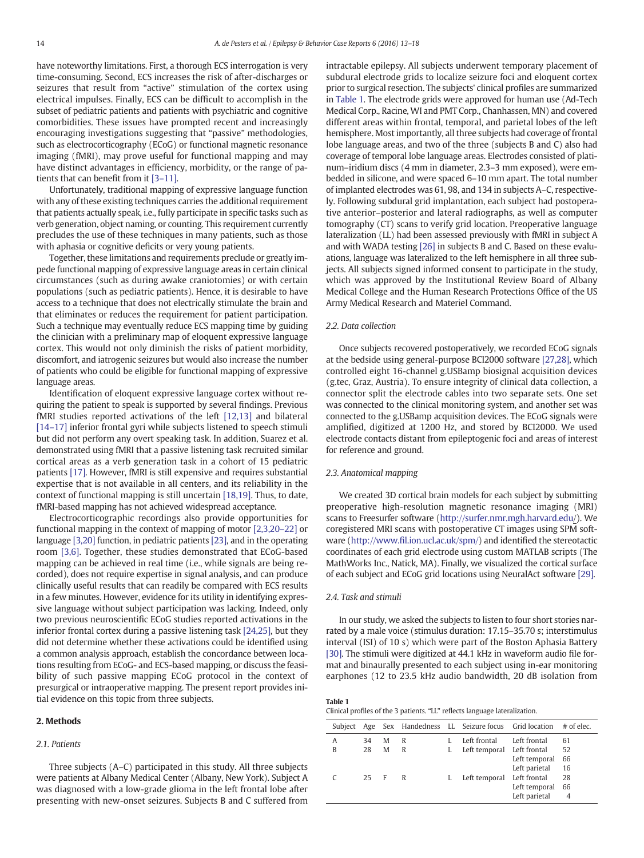have noteworthy limitations. First, a thorough ECS interrogation is very time-consuming. Second, ECS increases the risk of after-discharges or seizures that result from "active" stimulation of the cortex using electrical impulses. Finally, ECS can be difficult to accomplish in the subset of pediatric patients and patients with psychiatric and cognitive comorbidities. These issues have prompted recent and increasingly encouraging investigations suggesting that "passive" methodologies, such as electrocorticography (ECoG) or functional magnetic resonance imaging (fMRI), may prove useful for functional mapping and may have distinct advantages in efficiency, morbidity, or the range of patients that can benefit from it [3–[11\]](#page-4-0).

Unfortunately, traditional mapping of expressive language function with any of these existing techniques carries the additional requirement that patients actually speak, i.e., fully participate in specific tasks such as verb generation, object naming, or counting. This requirement currently precludes the use of these techniques in many patients, such as those with aphasia or cognitive deficits or very young patients.

Together, these limitations and requirements preclude or greatly impede functional mapping of expressive language areas in certain clinical circumstances (such as during awake craniotomies) or with certain populations (such as pediatric patients). Hence, it is desirable to have access to a technique that does not electrically stimulate the brain and that eliminates or reduces the requirement for patient participation. Such a technique may eventually reduce ECS mapping time by guiding the clinician with a preliminary map of eloquent expressive language cortex. This would not only diminish the risks of patient morbidity, discomfort, and iatrogenic seizures but would also increase the number of patients who could be eligible for functional mapping of expressive language areas.

Identification of eloquent expressive language cortex without requiring the patient to speak is supported by several findings. Previous fMRI studies reported activations of the left [\[12,13\]](#page-4-0) and bilateral [14–[17\]](#page-4-0) inferior frontal gyri while subjects listened to speech stimuli but did not perform any overt speaking task. In addition, Suarez et al. demonstrated using fMRI that a passive listening task recruited similar cortical areas as a verb generation task in a cohort of 15 pediatric patients [\[17\].](#page-4-0) However, fMRI is still expensive and requires substantial expertise that is not available in all centers, and its reliability in the context of functional mapping is still uncertain [\[18,19\]](#page-4-0). Thus, to date, fMRI-based mapping has not achieved widespread acceptance.

Electrocorticographic recordings also provide opportunities for functional mapping in the context of mapping of motor [\[2,3,20](#page-4-0)–22] or language [\[3,20\]](#page-4-0) function, in pediatric patients [\[23\],](#page-4-0) and in the operating room [\[3,6\]](#page-4-0). Together, these studies demonstrated that ECoG-based mapping can be achieved in real time (i.e., while signals are being recorded), does not require expertise in signal analysis, and can produce clinically useful results that can readily be compared with ECS results in a few minutes. However, evidence for its utility in identifying expressive language without subject participation was lacking. Indeed, only two previous neuroscientific ECoG studies reported activations in the inferior frontal cortex during a passive listening task [\[24,25\]](#page-4-0), but they did not determine whether these activations could be identified using a common analysis approach, establish the concordance between locations resulting from ECoG- and ECS-based mapping, or discuss the feasibility of such passive mapping ECoG protocol in the context of presurgical or intraoperative mapping. The present report provides initial evidence on this topic from three subjects.

#### 2. Methods

#### 2.1. Patients

Three subjects (A–C) participated in this study. All three subjects were patients at Albany Medical Center (Albany, New York). Subject A was diagnosed with a low-grade glioma in the left frontal lobe after presenting with new-onset seizures. Subjects B and C suffered from intractable epilepsy. All subjects underwent temporary placement of subdural electrode grids to localize seizure foci and eloquent cortex prior to surgical resection. The subjects' clinical profiles are summarized in Table 1. The electrode grids were approved for human use (Ad-Tech Medical Corp., Racine, WI and PMT Corp., Chanhassen, MN) and covered different areas within frontal, temporal, and parietal lobes of the left hemisphere. Most importantly, all three subjects had coverage of frontal lobe language areas, and two of the three (subjects B and C) also had coverage of temporal lobe language areas. Electrodes consisted of platinum–iridium discs (4 mm in diameter, 2.3–3 mm exposed), were embedded in silicone, and were spaced 6–10 mm apart. The total number of implanted electrodes was 61, 98, and 134 in subjects A–C, respectively. Following subdural grid implantation, each subject had postoperative anterior–posterior and lateral radiographs, as well as computer tomography (CT) scans to verify grid location. Preoperative language lateralization (LL) had been assessed previously with fMRI in subject A and with WADA testing [\[26\]](#page-4-0) in subjects B and C. Based on these evaluations, language was lateralized to the left hemisphere in all three subjects. All subjects signed informed consent to participate in the study, which was approved by the Institutional Review Board of Albany Medical College and the Human Research Protections Office of the US Army Medical Research and Materiel Command.

#### 2.2. Data collection

Once subjects recovered postoperatively, we recorded ECoG signals at the bedside using general-purpose BCI2000 software [\[27,28\],](#page-4-0) which controlled eight 16-channel g.USBamp biosignal acquisition devices (g.tec, Graz, Austria). To ensure integrity of clinical data collection, a connector split the electrode cables into two separate sets. One set was connected to the clinical monitoring system, and another set was connected to the g.USBamp acquisition devices. The ECoG signals were amplified, digitized at 1200 Hz, and stored by BCI2000. We used electrode contacts distant from epileptogenic foci and areas of interest for reference and ground.

#### 2.3. Anatomical mapping

We created 3D cortical brain models for each subject by submitting preoperative high-resolution magnetic resonance imaging (MRI) scans to Freesurfer software [\(http://surfer.nmr.mgh.harvard.edu](http://surfer.nmr.mgh.harvard.edu)/). We coregistered MRI scans with postoperative CT images using SPM software (http://www.fi[l.ion.ucl.ac.uk/spm/\)](http://www.fil.ion.ucl.ac.uk/spm/) and identified the stereotactic coordinates of each grid electrode using custom MATLAB scripts (The MathWorks Inc., Natick, MA). Finally, we visualized the cortical surface of each subject and ECoG grid locations using NeuralAct software [\[29\].](#page-4-0)

#### 2.4. Task and stimuli

**Table** 

In our study, we asked the subjects to listen to four short stories narrated by a male voice (stimulus duration: 17.15–35.70 s; interstimulus interval (ISI) of 10 s) which were part of the Boston Aphasia Battery [\[30\]](#page-4-0). The stimuli were digitized at 44.1 kHz in waveform audio file format and binaurally presented to each subject using in-ear monitoring earphones (12 to 23.5 kHz audio bandwidth, 20 dB isolation from

|  |  | $\blacksquare$ $\blacksquare$ $\blacksquare$ $\blacksquare$ $\blacksquare$ $\blacksquare$ $\blacksquare$ $\blacksquare$ $\blacksquare$ $\blacksquare$ $\blacksquare$ $\blacksquare$ $\blacksquare$ $\blacksquare$ $\blacksquare$ $\blacksquare$ $\blacksquare$ $\blacksquare$ $\blacksquare$ $\blacksquare$ $\blacksquare$ $\blacksquare$ $\blacksquare$ $\blacksquare$ $\blacksquare$ $\blacksquare$ $\blacksquare$ $\blacksquare$ $\blacksquare$ $\blacksquare$ $\blacksquare$ $\blacks$ |  |
|--|--|--------------------------------------------------------------------------------------------------------------------------------------------------------------------------------------------------------------------------------------------------------------------------------------------------------------------------------------------------------------------------------------------------------------------------------------------------------------------------------------------|--|

Clinical profiles of the 3 patients. "LL" reflects language lateralization.

|   |        |   |   |   | Subject Age Sex Handedness LL Seizure focus Grid location |               | $#$ of elec. |
|---|--------|---|---|---|-----------------------------------------------------------|---------------|--------------|
| A | 34     | M | R |   | Left frontal                                              | Left frontal  | 61           |
| B | 28     | M | R | L | Left temporal Left frontal                                |               | 52           |
|   |        |   |   |   |                                                           | Left temporal | - 66         |
|   |        |   |   |   |                                                           | Left parietal | - 16         |
|   | $25$ F |   | R |   | Left temporal Left frontal                                |               | -28          |
|   |        |   |   |   |                                                           | Left temporal | 66           |
|   |        |   |   |   |                                                           | Left parietal | 4            |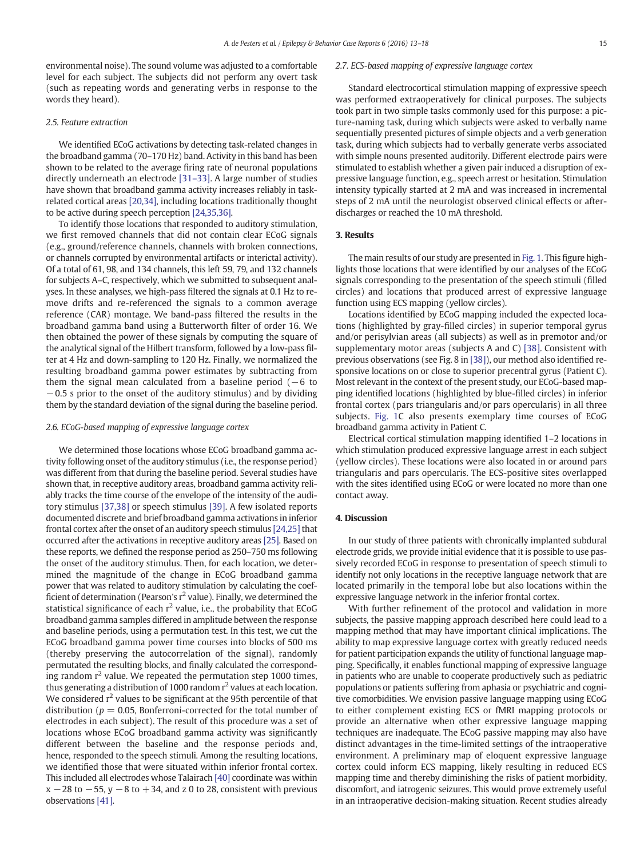environmental noise). The sound volume was adjusted to a comfortable level for each subject. The subjects did not perform any overt task (such as repeating words and generating verbs in response to the words they heard).

#### 2.5. Feature extraction

We identified ECoG activations by detecting task-related changes in the broadband gamma (70–170 Hz) band. Activity in this band has been shown to be related to the average firing rate of neuronal populations directly underneath an electrode [\[31](#page-4-0)–33]. A large number of studies have shown that broadband gamma activity increases reliably in taskrelated cortical areas [\[20,34\],](#page-4-0) including locations traditionally thought to be active during speech perception [\[24,35,36\].](#page-4-0)

To identify those locations that responded to auditory stimulation, we first removed channels that did not contain clear ECoG signals (e.g., ground/reference channels, channels with broken connections, or channels corrupted by environmental artifacts or interictal activity). Of a total of 61, 98, and 134 channels, this left 59, 79, and 132 channels for subjects A–C, respectively, which we submitted to subsequent analyses. In these analyses, we high-pass filtered the signals at 0.1 Hz to remove drifts and re-referenced the signals to a common average reference (CAR) montage. We band-pass filtered the results in the broadband gamma band using a Butterworth filter of order 16. We then obtained the power of these signals by computing the square of the analytical signal of the Hilbert transform, followed by a low-pass filter at 4 Hz and down-sampling to 120 Hz. Finally, we normalized the resulting broadband gamma power estimates by subtracting from them the signal mean calculated from a baseline period  $(-6$  to −0.5 s prior to the onset of the auditory stimulus) and by dividing them by the standard deviation of the signal during the baseline period.

#### 2.6. ECoG-based mapping of expressive language cortex

We determined those locations whose ECoG broadband gamma activity following onset of the auditory stimulus (i.e., the response period) was different from that during the baseline period. Several studies have shown that, in receptive auditory areas, broadband gamma activity reliably tracks the time course of the envelope of the intensity of the auditory stimulus [\[37,38\]](#page-5-0) or speech stimulus [\[39\]](#page-5-0). A few isolated reports documented discrete and brief broadband gamma activations in inferior frontal cortex after the onset of an auditory speech stimulus [\[24,25\]](#page-4-0) that occurred after the activations in receptive auditory areas [\[25\]](#page-4-0). Based on these reports, we defined the response period as 250–750 ms following the onset of the auditory stimulus. Then, for each location, we determined the magnitude of the change in ECoG broadband gamma power that was related to auditory stimulation by calculating the coefficient of determination (Pearson's  $r^2$  value). Finally, we determined the statistical significance of each  $r^2$  value, i.e., the probability that ECoG broadband gamma samples differed in amplitude between the response and baseline periods, using a permutation test. In this test, we cut the ECoG broadband gamma power time courses into blocks of 500 ms (thereby preserving the autocorrelation of the signal), randomly permutated the resulting blocks, and finally calculated the corresponding random  $r^2$  value. We repeated the permutation step 1000 times, thus generating a distribution of 1000 random  $r^2$  values at each location. We considered  $r^2$  values to be significant at the 95th percentile of that distribution ( $p = 0.05$ , Bonferroni-corrected for the total number of electrodes in each subject). The result of this procedure was a set of locations whose ECoG broadband gamma activity was significantly different between the baseline and the response periods and, hence, responded to the speech stimuli. Among the resulting locations, we identified those that were situated within inferior frontal cortex. This included all electrodes whose Talairach [\[40\]](#page-5-0) coordinate was within  $x - 28$  to  $-55$ ,  $y - 8$  to  $+34$ , and z 0 to 28, consistent with previous observations [\[41\]](#page-5-0).

#### 2.7. ECS-based mapping of expressive language cortex

Standard electrocortical stimulation mapping of expressive speech was performed extraoperatively for clinical purposes. The subjects took part in two simple tasks commonly used for this purpose: a picture-naming task, during which subjects were asked to verbally name sequentially presented pictures of simple objects and a verb generation task, during which subjects had to verbally generate verbs associated with simple nouns presented auditorily. Different electrode pairs were stimulated to establish whether a given pair induced a disruption of expressive language function, e.g., speech arrest or hesitation. Stimulation intensity typically started at 2 mA and was increased in incremental steps of 2 mA until the neurologist observed clinical effects or afterdischarges or reached the 10 mA threshold.

#### 3. Results

The main results of our study are presented in [Fig. 1.](#page-3-0) This figure highlights those locations that were identified by our analyses of the ECoG signals corresponding to the presentation of the speech stimuli (filled circles) and locations that produced arrest of expressive language function using ECS mapping (yellow circles).

Locations identified by ECoG mapping included the expected locations (highlighted by gray-filled circles) in superior temporal gyrus and/or perisylvian areas (all subjects) as well as in premotor and/or supplementary motor areas (subjects A and C) [\[38\].](#page-5-0) Consistent with previous observations (see Fig. 8 in [\[38\]](#page-5-0)), our method also identified responsive locations on or close to superior precentral gyrus (Patient C). Most relevant in the context of the present study, our ECoG-based mapping identified locations (highlighted by blue-filled circles) in inferior frontal cortex (pars triangularis and/or pars opercularis) in all three subjects. [Fig. 1C](#page-3-0) also presents exemplary time courses of ECoG broadband gamma activity in Patient C.

Electrical cortical stimulation mapping identified 1–2 locations in which stimulation produced expressive language arrest in each subject (yellow circles). These locations were also located in or around pars triangularis and pars opercularis. The ECS-positive sites overlapped with the sites identified using ECoG or were located no more than one contact away.

#### 4. Discussion

In our study of three patients with chronically implanted subdural electrode grids, we provide initial evidence that it is possible to use passively recorded ECoG in response to presentation of speech stimuli to identify not only locations in the receptive language network that are located primarily in the temporal lobe but also locations within the expressive language network in the inferior frontal cortex.

With further refinement of the protocol and validation in more subjects, the passive mapping approach described here could lead to a mapping method that may have important clinical implications. The ability to map expressive language cortex with greatly reduced needs for patient participation expands the utility of functional language mapping. Specifically, it enables functional mapping of expressive language in patients who are unable to cooperate productively such as pediatric populations or patients suffering from aphasia or psychiatric and cognitive comorbidities. We envision passive language mapping using ECoG to either complement existing ECS or fMRI mapping protocols or provide an alternative when other expressive language mapping techniques are inadequate. The ECoG passive mapping may also have distinct advantages in the time-limited settings of the intraoperative environment. A preliminary map of eloquent expressive language cortex could inform ECS mapping, likely resulting in reduced ECS mapping time and thereby diminishing the risks of patient morbidity, discomfort, and iatrogenic seizures. This would prove extremely useful in an intraoperative decision-making situation. Recent studies already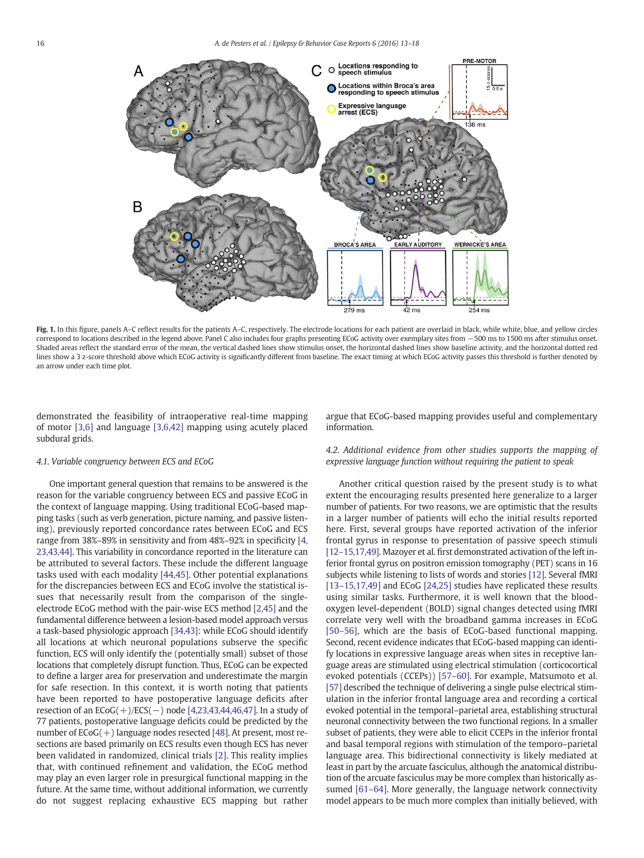<span id="page-3-0"></span>

Fig. 1. In this figure, panels A-C reflect results for the patients A-C, respectively. The electrode locations for each patient are overlaid in black, while white, blue, and yellow circles correspond to locations described in the legend above. Panel C also includes four graphs presenting ECoG activity over exemplary sites from −500 ms to 1500 ms after stimulus onset. Shaded areas reflect the standard error of the mean, the vertical dashed lines show stimulus onset, the horizontal dashed lines show baseline activity, and the horizontal dotted red lines show a 3 z-score threshold above which ECoG activity is significantly different from baseline. The exact timing at which ECoG activity passes this threshold is further denoted by an arrow under each time plot.

demonstrated the feasibility of intraoperative real-time mapping of motor [\[3,6\]](#page-4-0) and language [\[3,6,42\]](#page-4-0) mapping using acutely placed subdural grids.

#### 4.1. Variable congruency between ECS and ECoG

One important general question that remains to be answered is the reason for the variable congruency between ECS and passive ECoG in the context of language mapping. Using traditional ECoG-based mapping tasks (such as verb generation, picture naming, and passive listening), previously reported concordance rates between ECoG and ECS range from 38%–89% in sensitivity and from 48%–92% in specificity [\[4,](#page-4-0) [23,43,44\].](#page-4-0) This variability in concordance reported in the literature can be attributed to several factors. These include the different language tasks used with each modality [\[44,45\].](#page-5-0) Other potential explanations for the discrepancies between ECS and ECoG involve the statistical issues that necessarily result from the comparison of the singleelectrode ECoG method with the pair-wise ECS method [\[2,45\]](#page-4-0) and the fundamental difference between a lesion-based model approach versus a task-based physiologic approach [\[34,43\]](#page-4-0): while ECoG should identify all locations at which neuronal populations subserve the specific function, ECS will only identify the (potentially small) subset of those locations that completely disrupt function. Thus, ECoG can be expected to define a larger area for preservation and underestimate the margin for safe resection. In this context, it is worth noting that patients have been reported to have postoperative language deficits after resection of an  $ECoG(+) / ECS(−)$  node  $[4,23,43,44,46,47]$ . In a study of 77 patients, postoperative language deficits could be predicted by the number of ECoG(+) language nodes resected [\[48\].](#page-5-0) At present, most resections are based primarily on ECS results even though ECS has never been validated in randomized, clinical trials [\[2\]](#page-4-0). This reality implies that, with continued refinement and validation, the ECoG method may play an even larger role in presurgical functional mapping in the future. At the same time, without additional information, we currently do not suggest replacing exhaustive ECS mapping but rather argue that ECoG-based mapping provides useful and complementary information.

4.2. Additional evidence from other studies supports the mapping of expressive language function without requiring the patient to speak

Another critical question raised by the present study is to what extent the encouraging results presented here generalize to a larger number of patients. For two reasons, we are optimistic that the results in a larger number of patients will echo the initial results reported here. First, several groups have reported activation of the inferior frontal gyrus in response to presentation of passive speech stimuli [12–[15,17,49\].](#page-4-0) Mazoyer et al. first demonstrated activation of the left inferior frontal gyrus on positron emission tomography (PET) scans in 16 subjects while listening to lists of words and stories [\[12\].](#page-4-0) Several fMRI [13–[15,17,49\]](#page-4-0) and ECoG [\[24,25\]](#page-4-0) studies have replicated these results using similar tasks. Furthermore, it is well known that the bloodoxygen level-dependent (BOLD) signal changes detected using fMRI correlate very well with the broadband gamma increases in ECoG [50–[56\],](#page-5-0) which are the basis of ECoG-based functional mapping. Second, recent evidence indicates that ECoG-based mapping can identify locations in expressive language areas when sites in receptive language areas are stimulated using electrical stimulation (corticocortical evoked potentials (CCEPs)) [57–[60\].](#page-5-0) For example, Matsumoto et al. [\[57\]](#page-5-0) described the technique of delivering a single pulse electrical stimulation in the inferior frontal language area and recording a cortical evoked potential in the temporal–parietal area, establishing structural neuronal connectivity between the two functional regions. In a smaller subset of patients, they were able to elicit CCEPs in the inferior frontal and basal temporal regions with stimulation of the temporo–parietal language area. This bidirectional connectivity is likely mediated at least in part by the arcuate fasciculus, although the anatomical distribution of the arcuate fasciculus may be more complex than historically assumed [61–[64\].](#page-5-0) More generally, the language network connectivity model appears to be much more complex than initially believed, with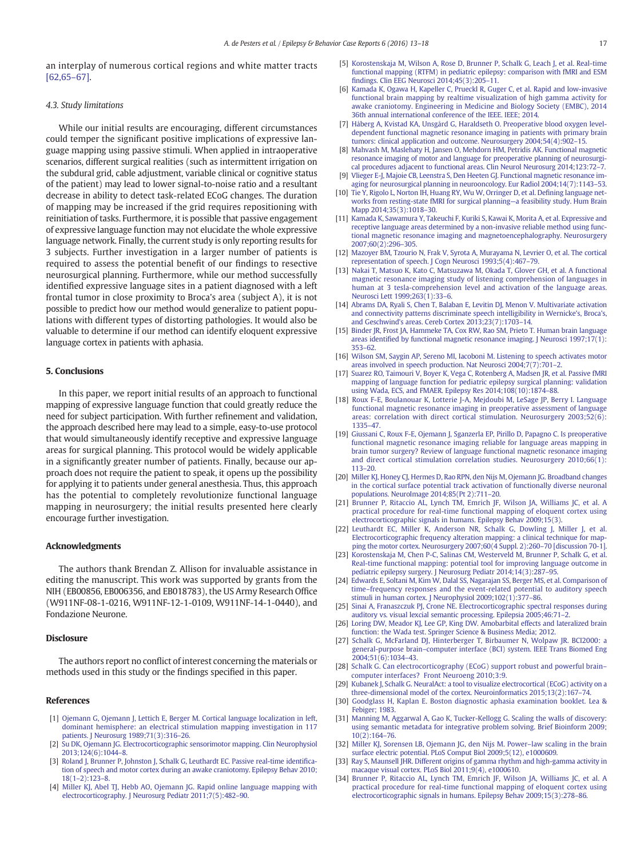<span id="page-4-0"></span>an interplay of numerous cortical regions and white matter tracts [\[62,65](#page-5-0)–67].

#### 4.3. Study limitations

While our initial results are encouraging, different circumstances could temper the significant positive implications of expressive language mapping using passive stimuli. When applied in intraoperative scenarios, different surgical realities (such as intermittent irrigation on the subdural grid, cable adjustment, variable clinical or cognitive status of the patient) may lead to lower signal-to-noise ratio and a resultant decrease in ability to detect task-related ECoG changes. The duration of mapping may be increased if the grid requires repositioning with reinitiation of tasks. Furthermore, it is possible that passive engagement of expressive language function may not elucidate the whole expressive language network. Finally, the current study is only reporting results for 3 subjects. Further investigation in a larger number of patients is required to assess the potential benefit of our findings to resective neurosurgical planning. Furthermore, while our method successfully identified expressive language sites in a patient diagnosed with a left frontal tumor in close proximity to Broca's area (subject A), it is not possible to predict how our method would generalize to patient populations with different types of distorting pathologies. It would also be valuable to determine if our method can identify eloquent expressive language cortex in patients with aphasia.

#### 5. Conclusions

In this paper, we report initial results of an approach to functional mapping of expressive language function that could greatly reduce the need for subject participation. With further refinement and validation, the approach described here may lead to a simple, easy-to-use protocol that would simultaneously identify receptive and expressive language areas for surgical planning. This protocol would be widely applicable in a significantly greater number of patients. Finally, because our approach does not require the patient to speak, it opens up the possibility for applying it to patients under general anesthesia. Thus, this approach has the potential to completely revolutionize functional language mapping in neurosurgery; the initial results presented here clearly encourage further investigation.

#### Acknowledgments

The authors thank Brendan Z. Allison for invaluable assistance in editing the manuscript. This work was supported by grants from the NIH (EB00856, EB006356, and EB018783), the US Army Research Office (W911NF-08-1-0216, W911NF-12-1-0109, W911NF-14-1-0440), and Fondazione Neurone.

### Disclosure

The authors report no conflict of interest concerning the materials or methods used in this study or the findings specified in this paper.

#### References

- [1] [Ojemann G, Ojemann J, Lettich E, Berger M. Cortical language localization in left,](http://refhub.elsevier.com/S2213-3232(16)30006-8/rf0005) [dominant hemisphere: an electrical stimulation mapping investigation in 117](http://refhub.elsevier.com/S2213-3232(16)30006-8/rf0005) [patients. J Neurosurg 1989;71\(3\):316](http://refhub.elsevier.com/S2213-3232(16)30006-8/rf0005)–26.
- [2] [Su DK, Ojemann JG. Electrocorticographic sensorimotor mapping. Clin Neurophysiol](http://refhub.elsevier.com/S2213-3232(16)30006-8/rf0010) [2013;124\(6\):1044](http://refhub.elsevier.com/S2213-3232(16)30006-8/rf0010)–8.
- [3] Roland J, Brunner P, Johnston J, Schalk G, Leuthardt EC, Passive real-time identifica[tion of speech and motor cortex during an awake craniotomy. Epilepsy Behav 2010;](http://refhub.elsevier.com/S2213-3232(16)30006-8/rf0015) 18(1–[2\):123](http://refhub.elsevier.com/S2213-3232(16)30006-8/rf0015)–8.
- [4] [Miller KJ, Abel TJ, Hebb AO, Ojemann JG. Rapid online language mapping with](http://refhub.elsevier.com/S2213-3232(16)30006-8/rf0020) [electrocorticography. J Neurosurg Pediatr 2011;7\(5\):482](http://refhub.elsevier.com/S2213-3232(16)30006-8/rf0020)–90.
- [5] [Korostenskaja M, Wilson A, Rose D, Brunner P, Schalk G, Leach J, et al. Real-time](http://refhub.elsevier.com/S2213-3232(16)30006-8/rf0025) [functional mapping \(RTFM\) in pediatric epilepsy: comparison with fMRI and ESM](http://refhub.elsevier.com/S2213-3232(16)30006-8/rf0025) fi[ndings. Clin EEG Neurosci 2014;45\(3\):205](http://refhub.elsevier.com/S2213-3232(16)30006-8/rf0025)–11.
- [6] [Kamada K, Ogawa H, Kapeller C, Prueckl R, Guger C, et al. Rapid and low-invasive](http://refhub.elsevier.com/S2213-3232(16)30006-8/rf0030) [functional brain mapping by realtime visualization of high gamma activity for](http://refhub.elsevier.com/S2213-3232(16)30006-8/rf0030) [awake craniotomy. Engineering in Medicine and Biology Society \(EMBC\), 2014](http://refhub.elsevier.com/S2213-3232(16)30006-8/rf0030) [36th annual international conference of the IEEE. IEEE; 2014.](http://refhub.elsevier.com/S2213-3232(16)30006-8/rf0030)
- [7] [Håberg A, Kvistad KA, Unsgård G, Haraldseth O. Preoperative blood oxygen level](http://refhub.elsevier.com/S2213-3232(16)30006-8/rf0035)[dependent functional magnetic resonance imaging in patients with primary brain](http://refhub.elsevier.com/S2213-3232(16)30006-8/rf0035) [tumors: clinical application and outcome. Neurosurgery 2004;54\(4\):902](http://refhub.elsevier.com/S2213-3232(16)30006-8/rf0035)–15.
- [8] [Mahvash M, Maslehaty H, Jansen O, Mehdorn HM, Petridis AK. Functional magnetic](http://refhub.elsevier.com/S2213-3232(16)30006-8/rf0040) [resonance imaging of motor and language for preoperative planning of neurosurgi](http://refhub.elsevier.com/S2213-3232(16)30006-8/rf0040)[cal procedures adjacent to functional areas. Clin Neurol Neurosurg 2014;123:72](http://refhub.elsevier.com/S2213-3232(16)30006-8/rf0040)–7.
- [9] [Vlieger E-J, Majoie CB, Leenstra S, Den Heeten GJ. Functional magnetic resonance im](http://refhub.elsevier.com/S2213-3232(16)30006-8/rf0045)[aging for neurosurgical planning in neurooncology. Eur Radiol 2004;14\(7\):1143](http://refhub.elsevier.com/S2213-3232(16)30006-8/rf0045)–53.
- [10] [Tie Y, Rigolo L, Norton IH, Huang RY, Wu W, Orringer D, et al. De](http://refhub.elsevier.com/S2213-3232(16)30006-8/rf0050)fining language net[works from resting-state fMRI for surgical planning](http://refhub.elsevier.com/S2213-3232(16)30006-8/rf0050)—a feasibility study. Hum Brain Mapp 2014:35(3):1018-30.
- [11] [Kamada K, Sawamura Y, Takeuchi F, Kuriki S, Kawai K, Morita A, et al. Expressive and](http://refhub.elsevier.com/S2213-3232(16)30006-8/rf0055) [receptive language areas determined by a non-invasive reliable method using func](http://refhub.elsevier.com/S2213-3232(16)30006-8/rf0055)[tional magnetic resonance imaging and magnetoencephalography. Neurosurgery](http://refhub.elsevier.com/S2213-3232(16)30006-8/rf0055) [2007;60\(2\):296](http://refhub.elsevier.com/S2213-3232(16)30006-8/rf0055)–305.
- [12] [Mazoyer BM, Tzourio N, Frak V, Syrota A, Murayama N, Levrier O, et al. The cortical](http://refhub.elsevier.com/S2213-3232(16)30006-8/rf0060) [representation of speech. J Cogn Neurosci 1993;5\(4\):467](http://refhub.elsevier.com/S2213-3232(16)30006-8/rf0060)–79.
- [13] [Nakai T, Matsuo K, Kato C, Matsuzawa M, Okada T, Glover GH, et al. A functional](http://refhub.elsevier.com/S2213-3232(16)30006-8/rf0065) [magnetic resonance imaging study of listening comprehension of languages in](http://refhub.elsevier.com/S2213-3232(16)30006-8/rf0065) [human at 3 tesla-comprehension level and activation of the language areas.](http://refhub.elsevier.com/S2213-3232(16)30006-8/rf0065) [Neurosci Lett 1999;263\(1\):33](http://refhub.elsevier.com/S2213-3232(16)30006-8/rf0065)–6.
- [14] [Abrams DA, Ryali S, Chen T, Balaban E, Levitin DJ, Menon V. Multivariate activation](http://refhub.elsevier.com/S2213-3232(16)30006-8/rf0070) [and connectivity patterns discriminate speech intelligibility in Wernicke's, Broca's,](http://refhub.elsevier.com/S2213-3232(16)30006-8/rf0070) [and Geschwind's areas. Cereb Cortex 2013;23\(7\):1703](http://refhub.elsevier.com/S2213-3232(16)30006-8/rf0070)–14.
- [15] [Binder JR, Frost JA, Hammeke TA, Cox RW, Rao SM, Prieto T. Human brain language](http://refhub.elsevier.com/S2213-3232(16)30006-8/rf0075) areas identifi[ed by functional magnetic resonance imaging. J Neurosci 1997;17\(1\):](http://refhub.elsevier.com/S2213-3232(16)30006-8/rf0075) [353](http://refhub.elsevier.com/S2213-3232(16)30006-8/rf0075)–62.
- [16] [Wilson SM, Saygin AP, Sereno MI, Iacoboni M. Listening to speech activates motor](http://refhub.elsevier.com/S2213-3232(16)30006-8/rf0080) [areas involved in speech production. Nat Neurosci 2004;7\(7\):701](http://refhub.elsevier.com/S2213-3232(16)30006-8/rf0080)–2.
- [17] [Suarez RO, Taimouri V, Boyer K, Vega C, Rotenberg A, Madsen JR, et al. Passive fMRI](http://refhub.elsevier.com/S2213-3232(16)30006-8/rf0085) [mapping of language function for pediatric epilepsy surgical planning: validation](http://refhub.elsevier.com/S2213-3232(16)30006-8/rf0085) [using Wada, ECS, and FMAER. Epilepsy Res 2014;108\(10\):1874](http://refhub.elsevier.com/S2213-3232(16)30006-8/rf0085)–88.
- [18] [Roux F-E, Boulanouar K, Lotterie J-A, Mejdoubi M, LeSage JP, Berry I. Language](http://refhub.elsevier.com/S2213-3232(16)30006-8/rf0090) [functional magnetic resonance imaging in preoperative assessment of language](http://refhub.elsevier.com/S2213-3232(16)30006-8/rf0090) [areas: correlation with direct cortical stimulation. Neurosurgery 2003;52\(6\):](http://refhub.elsevier.com/S2213-3232(16)30006-8/rf0090) [1335](http://refhub.elsevier.com/S2213-3232(16)30006-8/rf0090)–47.
- [19] [Giussani C, Roux F-E, Ojemann J, Sganzerla EP, Pirillo D, Papagno C. Is preoperative](http://refhub.elsevier.com/S2213-3232(16)30006-8/rf0095) [functional magnetic resonance imaging reliable for language areas mapping in](http://refhub.elsevier.com/S2213-3232(16)30006-8/rf0095) [brain tumor surgery? Review of language functional magnetic resonance imaging](http://refhub.elsevier.com/S2213-3232(16)30006-8/rf0095) [and direct cortical stimulation correlation studies. Neurosurgery 2010;66\(1\):](http://refhub.elsevier.com/S2213-3232(16)30006-8/rf0095) [113](http://refhub.elsevier.com/S2213-3232(16)30006-8/rf0095)–20.
- [20] [Miller KJ, Honey CJ, Hermes D, Rao RPN, den Nijs M, Ojemann JG. Broadband changes](http://refhub.elsevier.com/S2213-3232(16)30006-8/rf0100) [in the cortical surface potential track activation of functionally diverse neuronal](http://refhub.elsevier.com/S2213-3232(16)30006-8/rf0100) [populations. NeuroImage 2014;85\(Pt 2\):711](http://refhub.elsevier.com/S2213-3232(16)30006-8/rf0100)–20.
- [21] [Brunner P, Ritaccio AL, Lynch TM, Emrich JF, Wilson JA, Williams JC, et al. A](http://refhub.elsevier.com/S2213-3232(16)30006-8/rf0105) [practical procedure for real-time functional mapping of eloquent cortex using](http://refhub.elsevier.com/S2213-3232(16)30006-8/rf0105) [electrocorticographic signals in humans. Epilepsy Behav 2009;15\(3\).](http://refhub.elsevier.com/S2213-3232(16)30006-8/rf0105)
- [22] [Leuthardt EC, Miller K, Anderson NR, Schalk G, Dowling J, Miller J, et al.](http://refhub.elsevier.com/S2213-3232(16)30006-8/rf0110) [Electrocorticographic frequency alteration mapping: a clinical technique for map](http://refhub.elsevier.com/S2213-3232(16)30006-8/rf0110)[ping the motor cortex. Neurosurgery 2007;60\(4 Suppl. 2\):260](http://refhub.elsevier.com/S2213-3232(16)30006-8/rf0110)–70 [discussion 70-1].
- [23] [Korostenskaja M, Chen P-C, Salinas CM, Westerveld M, Brunner P, Schalk G, et al.](http://refhub.elsevier.com/S2213-3232(16)30006-8/rf0115) [Real-time functional mapping: potential tool for improving language outcome in](http://refhub.elsevier.com/S2213-3232(16)30006-8/rf0115) [pediatric epilepsy surgery. J Neurosurg Pediatr 2014;14\(3\):287](http://refhub.elsevier.com/S2213-3232(16)30006-8/rf0115)–95.
- [24] [Edwards E, Soltani M, Kim W, Dalal SS, Nagarajan SS, Berger MS, et al. Comparison of](http://refhub.elsevier.com/S2213-3232(16)30006-8/rf0120) time–[frequency responses and the event-related potential to auditory speech](http://refhub.elsevier.com/S2213-3232(16)30006-8/rf0120) [stimuli in human cortex. J Neurophysiol 2009;102\(1\):377](http://refhub.elsevier.com/S2213-3232(16)30006-8/rf0120)–86.
- [25] [Sinai A, Franaszczuk PJ, Crone NE. Electrocorticographic spectral responses during](http://refhub.elsevier.com/S2213-3232(16)30006-8/rf0125) [auditory vs. visual lexcial semantic processing. Epilepsia 2005;46:71](http://refhub.elsevier.com/S2213-3232(16)30006-8/rf0125)–2.
- [26] [Loring DW, Meador KJ, Lee GP, King DW. Amobarbital effects and lateralized brain](http://refhub.elsevier.com/S2213-3232(16)30006-8/rf0130) [function: the Wada test. Springer Science & Business Media; 2012.](http://refhub.elsevier.com/S2213-3232(16)30006-8/rf0130)
- [27] [Schalk G, McFarland DJ, Hinterberger T, Birbaumer N, Wolpaw JR. BCI2000: a](http://refhub.elsevier.com/S2213-3232(16)30006-8/rf0135) general-purpose brain–[computer interface \(BCI\) system. IEEE Trans Biomed Eng](http://refhub.elsevier.com/S2213-3232(16)30006-8/rf0135)  $2004;51(6):1034-43.$  $2004;51(6):1034-43.$
- [28] [Schalk G. Can electrocorticography \(ECoG\) support robust and powerful brain](http://refhub.elsevier.com/S2213-3232(16)30006-8/rf0140) [computer interfaces? Front Neuroeng 2010;3:9.](http://refhub.elsevier.com/S2213-3232(16)30006-8/rf0140)
- [29] [Kubanek J, Schalk G. NeuralAct: a tool to visualize electrocortical \(ECoG\) activity on a](http://refhub.elsevier.com/S2213-3232(16)30006-8/rf0145) [three-dimensional model of the cortex. Neuroinformatics 2015;13\(2\):167](http://refhub.elsevier.com/S2213-3232(16)30006-8/rf0145)–74.
- [30] [Goodglass H, Kaplan E. Boston diagnostic aphasia examination booklet. Lea &](http://refhub.elsevier.com/S2213-3232(16)30006-8/rf0150) [Febiger; 1983.](http://refhub.elsevier.com/S2213-3232(16)30006-8/rf0150)
- [31] [Manning M, Aggarwal A, Gao K, Tucker-Kellogg G. Scaling the walls of discovery:](http://refhub.elsevier.com/S2213-3232(16)30006-8/rf0155) [using semantic metadata for integrative problem solving. Brief Bioinform 2009;](http://refhub.elsevier.com/S2213-3232(16)30006-8/rf0155) [10\(2\):164](http://refhub.elsevier.com/S2213-3232(16)30006-8/rf0155)–76.
- [32] [Miller KJ, Sorensen LB, Ojemann JG, den Nijs M. Power](http://refhub.elsevier.com/S2213-3232(16)30006-8/rf0160)–law scaling in the brain [surface electric potential. PLoS Comput Biol 2009;5\(12\), e1000609.](http://refhub.elsevier.com/S2213-3232(16)30006-8/rf0160)
- [33] [Ray S, Maunsell JHR. Different origins of gamma rhythm and high-gamma activity in](http://refhub.elsevier.com/S2213-3232(16)30006-8/rf0165) [macaque visual cortex. PLoS Biol 2011;9\(4\), e1000610.](http://refhub.elsevier.com/S2213-3232(16)30006-8/rf0165)
- [34] [Brunner P, Ritaccio AL, Lynch TM, Emrich JF, Wilson JA, Williams JC, et al. A](http://refhub.elsevier.com/S2213-3232(16)30006-8/rf0170) [practical procedure for real-time functional mapping of eloquent cortex using](http://refhub.elsevier.com/S2213-3232(16)30006-8/rf0170) [electrocorticographic signals in humans. Epilepsy Behav 2009;15\(3\):278](http://refhub.elsevier.com/S2213-3232(16)30006-8/rf0170)–86.